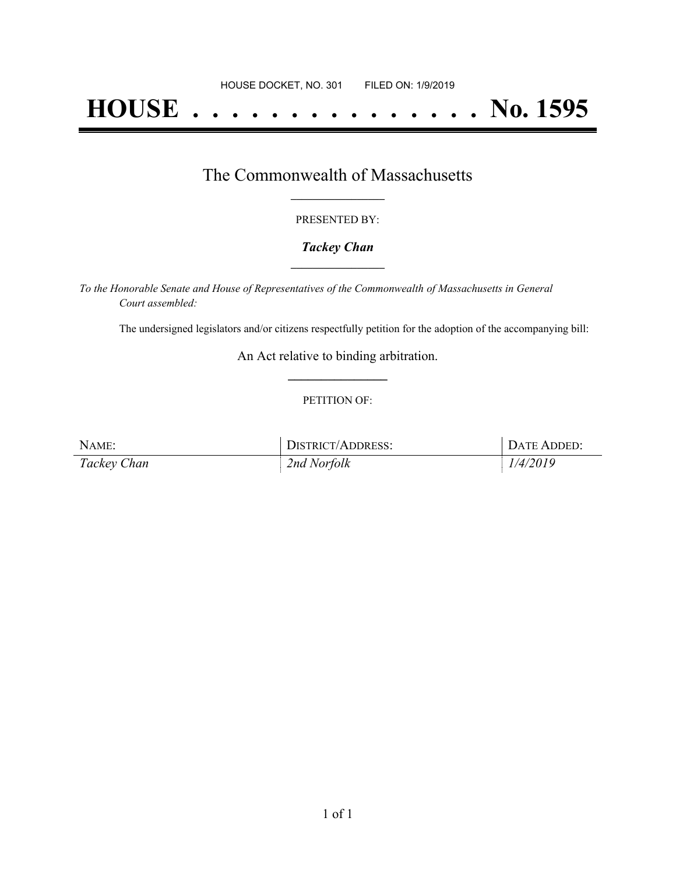# **HOUSE . . . . . . . . . . . . . . . No. 1595**

## The Commonwealth of Massachusetts **\_\_\_\_\_\_\_\_\_\_\_\_\_\_\_\_\_**

#### PRESENTED BY:

#### *Tackey Chan* **\_\_\_\_\_\_\_\_\_\_\_\_\_\_\_\_\_**

*To the Honorable Senate and House of Representatives of the Commonwealth of Massachusetts in General Court assembled:*

The undersigned legislators and/or citizens respectfully petition for the adoption of the accompanying bill:

An Act relative to binding arbitration. **\_\_\_\_\_\_\_\_\_\_\_\_\_\_\_**

#### PETITION OF:

| NAME:       | DISTRICT/ADDRESS: | DATE ADDED: |
|-------------|-------------------|-------------|
| Tackey Chan | 2nd Norfolk       | 1/4/2019    |